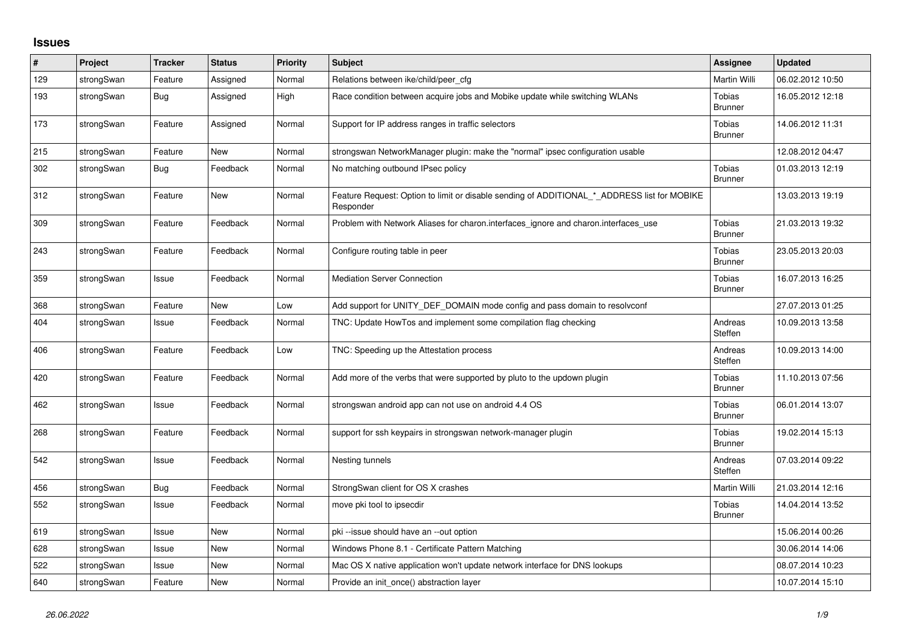## **Issues**

| $\#$ | Project    | <b>Tracker</b> | <b>Status</b> | <b>Priority</b> | <b>Subject</b>                                                                                           | Assignee                 | <b>Updated</b>   |
|------|------------|----------------|---------------|-----------------|----------------------------------------------------------------------------------------------------------|--------------------------|------------------|
| 129  | strongSwan | Feature        | Assigned      | Normal          | Relations between ike/child/peer cfg                                                                     | Martin Willi             | 06.02.2012 10:50 |
| 193  | strongSwan | Bug            | Assigned      | High            | Race condition between acquire jobs and Mobike update while switching WLANs                              | Tobias<br><b>Brunner</b> | 16.05.2012 12:18 |
| 173  | strongSwan | Feature        | Assigned      | Normal          | Support for IP address ranges in traffic selectors                                                       | Tobias<br><b>Brunner</b> | 14.06.2012 11:31 |
| 215  | strongSwan | Feature        | <b>New</b>    | Normal          | strongswan NetworkManager plugin: make the "normal" ipsec configuration usable                           |                          | 12.08.2012 04:47 |
| 302  | strongSwan | Bug            | Feedback      | Normal          | No matching outbound IPsec policy                                                                        | Tobias<br><b>Brunner</b> | 01.03.2013 12:19 |
| 312  | strongSwan | Feature        | <b>New</b>    | Normal          | Feature Request: Option to limit or disable sending of ADDITIONAL_*_ADDRESS list for MOBIKE<br>Responder |                          | 13.03.2013 19:19 |
| 309  | strongSwan | Feature        | Feedback      | Normal          | Problem with Network Aliases for charon.interfaces_ignore and charon.interfaces_use                      | Tobias<br><b>Brunner</b> | 21.03.2013 19:32 |
| 243  | strongSwan | Feature        | Feedback      | Normal          | Configure routing table in peer                                                                          | Tobias<br><b>Brunner</b> | 23.05.2013 20:03 |
| 359  | strongSwan | Issue          | Feedback      | Normal          | <b>Mediation Server Connection</b>                                                                       | Tobias<br><b>Brunner</b> | 16.07.2013 16:25 |
| 368  | strongSwan | Feature        | <b>New</b>    | Low             | Add support for UNITY_DEF_DOMAIN mode config and pass domain to resolvconf                               |                          | 27.07.2013 01:25 |
| 404  | strongSwan | Issue          | Feedback      | Normal          | TNC: Update HowTos and implement some compilation flag checking                                          | Andreas<br>Steffen       | 10.09.2013 13:58 |
| 406  | strongSwan | Feature        | Feedback      | Low             | TNC: Speeding up the Attestation process                                                                 | Andreas<br>Steffen       | 10.09.2013 14:00 |
| 420  | strongSwan | Feature        | Feedback      | Normal          | Add more of the verbs that were supported by pluto to the updown plugin                                  | Tobias<br><b>Brunner</b> | 11.10.2013 07:56 |
| 462  | strongSwan | Issue          | Feedback      | Normal          | strongswan android app can not use on android 4.4 OS                                                     | Tobias<br><b>Brunner</b> | 06.01.2014 13:07 |
| 268  | strongSwan | Feature        | Feedback      | Normal          | support for ssh keypairs in strongswan network-manager plugin                                            | Tobias<br><b>Brunner</b> | 19.02.2014 15:13 |
| 542  | strongSwan | Issue          | Feedback      | Normal          | Nesting tunnels                                                                                          | Andreas<br>Steffen       | 07.03.2014 09:22 |
| 456  | strongSwan | <b>Bug</b>     | Feedback      | Normal          | StrongSwan client for OS X crashes                                                                       | Martin Willi             | 21.03.2014 12:16 |
| 552  | strongSwan | Issue          | Feedback      | Normal          | move pki tool to ipsecdir                                                                                | Tobias<br><b>Brunner</b> | 14.04.2014 13:52 |
| 619  | strongSwan | Issue          | <b>New</b>    | Normal          | pki-issue should have an --out option                                                                    |                          | 15.06.2014 00:26 |
| 628  | strongSwan | Issue          | <b>New</b>    | Normal          | Windows Phone 8.1 - Certificate Pattern Matching                                                         |                          | 30.06.2014 14:06 |
| 522  | strongSwan | Issue          | New           | Normal          | Mac OS X native application won't update network interface for DNS lookups                               |                          | 08.07.2014 10:23 |
| 640  | strongSwan | Feature        | <b>New</b>    | Normal          | Provide an init_once() abstraction layer                                                                 |                          | 10.07.2014 15:10 |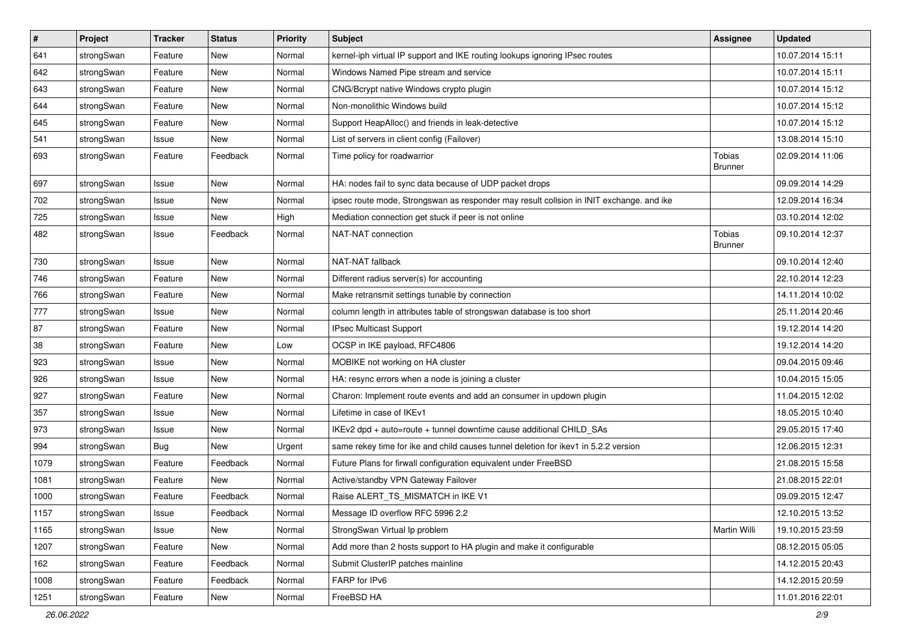| $\vert$ # | Project    | <b>Tracker</b> | <b>Status</b> | Priority | <b>Subject</b>                                                                          | <b>Assignee</b>                 | <b>Updated</b>   |
|-----------|------------|----------------|---------------|----------|-----------------------------------------------------------------------------------------|---------------------------------|------------------|
| 641       | strongSwan | Feature        | New           | Normal   | kernel-iph virtual IP support and IKE routing lookups ignoring IPsec routes             |                                 | 10.07.2014 15:11 |
| 642       | strongSwan | Feature        | New           | Normal   | Windows Named Pipe stream and service                                                   |                                 | 10.07.2014 15:11 |
| 643       | strongSwan | Feature        | New           | Normal   | CNG/Bcrypt native Windows crypto plugin                                                 |                                 | 10.07.2014 15:12 |
| 644       | strongSwan | Feature        | New           | Normal   | Non-monolithic Windows build                                                            |                                 | 10.07.2014 15:12 |
| 645       | strongSwan | Feature        | New           | Normal   | Support HeapAlloc() and friends in leak-detective                                       |                                 | 10.07.2014 15:12 |
| 541       | strongSwan | Issue          | New           | Normal   | List of servers in client config (Failover)                                             |                                 | 13.08.2014 15:10 |
| 693       | strongSwan | Feature        | Feedback      | Normal   | Time policy for roadwarrior                                                             | <b>Tobias</b><br><b>Brunner</b> | 02.09.2014 11:06 |
| 697       | strongSwan | Issue          | <b>New</b>    | Normal   | HA: nodes fail to sync data because of UDP packet drops                                 |                                 | 09.09.2014 14:29 |
| 702       | strongSwan | Issue          | <b>New</b>    | Normal   | ipsec route mode, Strongswan as responder may result collsion in INIT exchange. and ike |                                 | 12.09.2014 16:34 |
| 725       | strongSwan | Issue          | New           | High     | Mediation connection get stuck if peer is not online                                    |                                 | 03.10.2014 12:02 |
| 482       | strongSwan | Issue          | Feedback      | Normal   | NAT-NAT connection                                                                      | Tobias<br><b>Brunner</b>        | 09.10.2014 12:37 |
| 730       | strongSwan | Issue          | <b>New</b>    | Normal   | NAT-NAT fallback                                                                        |                                 | 09.10.2014 12:40 |
| 746       | strongSwan | Feature        | New           | Normal   | Different radius server(s) for accounting                                               |                                 | 22.10.2014 12:23 |
| 766       | strongSwan | Feature        | New           | Normal   | Make retransmit settings tunable by connection                                          |                                 | 14.11.2014 10:02 |
| 777       | strongSwan | Issue          | <b>New</b>    | Normal   | column length in attributes table of strongswan database is too short                   |                                 | 25.11.2014 20:46 |
| 87        | strongSwan | Feature        | <b>New</b>    | Normal   | IPsec Multicast Support                                                                 |                                 | 19.12.2014 14:20 |
| 38        | strongSwan | Feature        | New           | Low      | OCSP in IKE payload, RFC4806                                                            |                                 | 19.12.2014 14:20 |
| 923       | strongSwan | Issue          | New           | Normal   | MOBIKE not working on HA cluster                                                        |                                 | 09.04.2015 09:46 |
| 926       | strongSwan | Issue          | <b>New</b>    | Normal   | HA: resync errors when a node is joining a cluster                                      |                                 | 10.04.2015 15:05 |
| 927       | strongSwan | Feature        | New           | Normal   | Charon: Implement route events and add an consumer in updown plugin                     |                                 | 11.04.2015 12:02 |
| 357       | strongSwan | Issue          | New           | Normal   | Lifetime in case of IKEv1                                                               |                                 | 18.05.2015 10:40 |
| 973       | strongSwan | Issue          | New           | Normal   | IKEv2 dpd + auto=route + tunnel downtime cause additional CHILD_SAs                     |                                 | 29.05.2015 17:40 |
| 994       | strongSwan | <b>Bug</b>     | New           | Urgent   | same rekey time for ike and child causes tunnel deletion for ikev1 in 5.2.2 version     |                                 | 12.06.2015 12:31 |
| 1079      | strongSwan | Feature        | Feedback      | Normal   | Future Plans for firwall configuration equivalent under FreeBSD                         |                                 | 21.08.2015 15:58 |
| 1081      | strongSwan | Feature        | New           | Normal   | Active/standby VPN Gateway Failover                                                     |                                 | 21.08.2015 22:01 |
| 1000      | strongSwan | Feature        | Feedback      | Normal   | Raise ALERT_TS_MISMATCH in IKE V1                                                       |                                 | 09.09.2015 12:47 |
| 1157      | strongSwan | Issue          | Feedback      | Normal   | Message ID overflow RFC 5996 2.2                                                        |                                 | 12.10.2015 13:52 |
| 1165      | strongSwan | Issue          | New           | Normal   | StrongSwan Virtual Ip problem                                                           | Martin Willi                    | 19.10.2015 23:59 |
| 1207      | strongSwan | Feature        | New           | Normal   | Add more than 2 hosts support to HA plugin and make it configurable                     |                                 | 08.12.2015 05:05 |
| 162       | strongSwan | Feature        | Feedback      | Normal   | Submit ClusterIP patches mainline                                                       |                                 | 14.12.2015 20:43 |
| 1008      | strongSwan | Feature        | Feedback      | Normal   | FARP for IPv6                                                                           |                                 | 14.12.2015 20:59 |
| 1251      | strongSwan | Feature        | New           | Normal   | FreeBSD HA                                                                              |                                 | 11.01.2016 22:01 |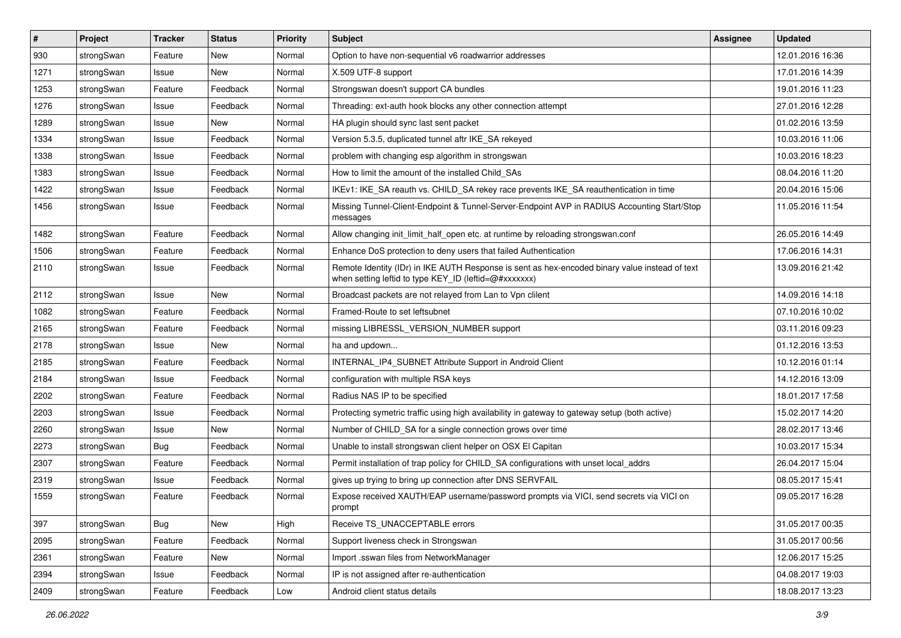| #    | Project    | <b>Tracker</b> | <b>Status</b> | <b>Priority</b> | <b>Subject</b>                                                                                                                                          | <b>Assignee</b> | <b>Updated</b>   |
|------|------------|----------------|---------------|-----------------|---------------------------------------------------------------------------------------------------------------------------------------------------------|-----------------|------------------|
| 930  | strongSwan | Feature        | New           | Normal          | Option to have non-sequential v6 roadwarrior addresses                                                                                                  |                 | 12.01.2016 16:36 |
| 1271 | strongSwan | Issue          | <b>New</b>    | Normal          | X.509 UTF-8 support                                                                                                                                     |                 | 17.01.2016 14:39 |
| 1253 | strongSwan | Feature        | Feedback      | Normal          | Strongswan doesn't support CA bundles                                                                                                                   |                 | 19.01.2016 11:23 |
| 1276 | strongSwan | Issue          | Feedback      | Normal          | Threading: ext-auth hook blocks any other connection attempt                                                                                            |                 | 27.01.2016 12:28 |
| 1289 | strongSwan | Issue          | New           | Normal          | HA plugin should sync last sent packet                                                                                                                  |                 | 01.02.2016 13:59 |
| 1334 | strongSwan | Issue          | Feedback      | Normal          | Version 5.3.5, duplicated tunnel aftr IKE SA rekeyed                                                                                                    |                 | 10.03.2016 11:06 |
| 1338 | strongSwan | Issue          | Feedback      | Normal          | problem with changing esp algorithm in strongswan                                                                                                       |                 | 10.03.2016 18:23 |
| 1383 | strongSwan | Issue          | Feedback      | Normal          | How to limit the amount of the installed Child_SAs                                                                                                      |                 | 08.04.2016 11:20 |
| 1422 | strongSwan | Issue          | Feedback      | Normal          | IKEv1: IKE_SA reauth vs. CHILD_SA rekey race prevents IKE_SA reauthentication in time                                                                   |                 | 20.04.2016 15:06 |
| 1456 | strongSwan | Issue          | Feedback      | Normal          | Missing Tunnel-Client-Endpoint & Tunnel-Server-Endpoint AVP in RADIUS Accounting Start/Stop<br>messages                                                 |                 | 11.05.2016 11:54 |
| 1482 | strongSwan | Feature        | Feedback      | Normal          | Allow changing init limit half open etc. at runtime by reloading strongswan.conf                                                                        |                 | 26.05.2016 14:49 |
| 1506 | strongSwan | Feature        | Feedback      | Normal          | Enhance DoS protection to deny users that failed Authentication                                                                                         |                 | 17.06.2016 14:31 |
| 2110 | strongSwan | Issue          | Feedback      | Normal          | Remote Identity (IDr) in IKE AUTH Response is sent as hex-encoded binary value instead of text<br>when setting leftid to type KEY_ID (leftid=@#xxxxxxx) |                 | 13.09.2016 21:42 |
| 2112 | strongSwan | Issue          | New           | Normal          | Broadcast packets are not relayed from Lan to Vpn clilent                                                                                               |                 | 14.09.2016 14:18 |
| 1082 | strongSwan | Feature        | Feedback      | Normal          | Framed-Route to set leftsubnet                                                                                                                          |                 | 07.10.2016 10:02 |
| 2165 | strongSwan | Feature        | Feedback      | Normal          | missing LIBRESSL_VERSION_NUMBER support                                                                                                                 |                 | 03.11.2016 09:23 |
| 2178 | strongSwan | Issue          | New           | Normal          | ha and updown                                                                                                                                           |                 | 01.12.2016 13:53 |
| 2185 | strongSwan | Feature        | Feedback      | Normal          | INTERNAL_IP4_SUBNET Attribute Support in Android Client                                                                                                 |                 | 10.12.2016 01:14 |
| 2184 | strongSwan | Issue          | Feedback      | Normal          | configuration with multiple RSA keys                                                                                                                    |                 | 14.12.2016 13:09 |
| 2202 | strongSwan | Feature        | Feedback      | Normal          | Radius NAS IP to be specified                                                                                                                           |                 | 18.01.2017 17:58 |
| 2203 | strongSwan | Issue          | Feedback      | Normal          | Protecting symetric traffic using high availability in gateway to gateway setup (both active)                                                           |                 | 15.02.2017 14:20 |
| 2260 | strongSwan | Issue          | New           | Normal          | Number of CHILD_SA for a single connection grows over time                                                                                              |                 | 28.02.2017 13:46 |
| 2273 | strongSwan | Bug            | Feedback      | Normal          | Unable to install strongswan client helper on OSX El Capitan                                                                                            |                 | 10.03.2017 15:34 |
| 2307 | strongSwan | Feature        | Feedback      | Normal          | Permit installation of trap policy for CHILD_SA configurations with unset local_addrs                                                                   |                 | 26.04.2017 15:04 |
| 2319 | strongSwan | Issue          | Feedback      | Normal          | gives up trying to bring up connection after DNS SERVFAIL                                                                                               |                 | 08.05.2017 15:41 |
| 1559 | strongSwan | Feature        | Feedback      | Normal          | Expose received XAUTH/EAP username/password prompts via VICI, send secrets via VICI on<br>prompt                                                        |                 | 09.05.2017 16:28 |
| 397  | strongSwan | Bug            | New           | High            | Receive TS_UNACCEPTABLE errors                                                                                                                          |                 | 31.05.2017 00:35 |
| 2095 | strongSwan | Feature        | Feedback      | Normal          | Support liveness check in Strongswan                                                                                                                    |                 | 31.05.2017 00:56 |
| 2361 | strongSwan | Feature        | New           | Normal          | Import .sswan files from NetworkManager                                                                                                                 |                 | 12.06.2017 15:25 |
| 2394 | strongSwan | Issue          | Feedback      | Normal          | IP is not assigned after re-authentication                                                                                                              |                 | 04.08.2017 19:03 |
| 2409 | strongSwan | Feature        | Feedback      | Low             | Android client status details                                                                                                                           |                 | 18.08.2017 13:23 |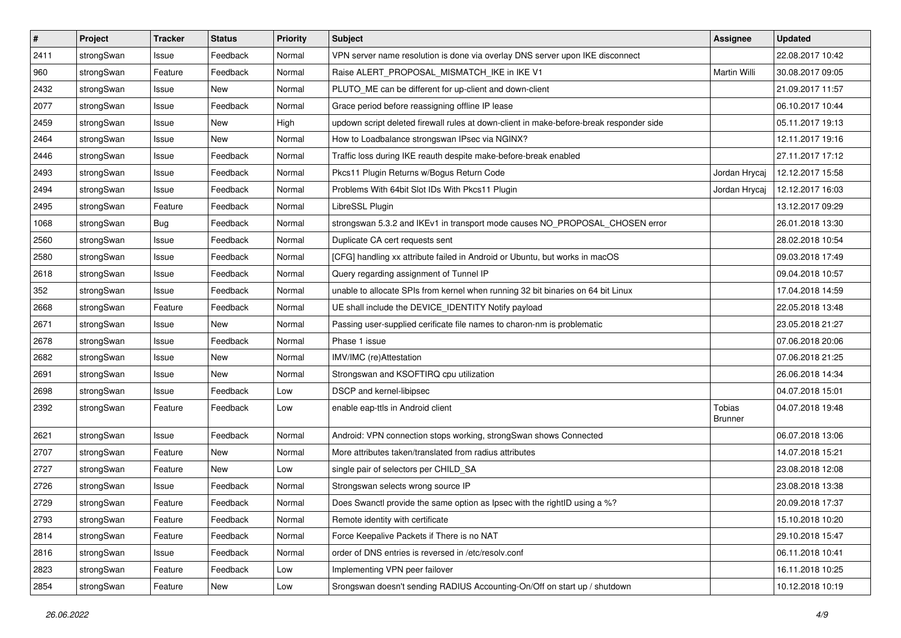| $\sharp$ | Project    | <b>Tracker</b> | <b>Status</b> | <b>Priority</b> | <b>Subject</b>                                                                          | Assignee                 | <b>Updated</b>   |
|----------|------------|----------------|---------------|-----------------|-----------------------------------------------------------------------------------------|--------------------------|------------------|
| 2411     | strongSwan | Issue          | Feedback      | Normal          | VPN server name resolution is done via overlay DNS server upon IKE disconnect           |                          | 22.08.2017 10:42 |
| 960      | strongSwan | Feature        | Feedback      | Normal          | Raise ALERT_PROPOSAL_MISMATCH_IKE in IKE V1                                             | Martin Willi             | 30.08.2017 09:05 |
| 2432     | strongSwan | Issue          | New           | Normal          | PLUTO ME can be different for up-client and down-client                                 |                          | 21.09.2017 11:57 |
| 2077     | strongSwan | Issue          | Feedback      | Normal          | Grace period before reassigning offline IP lease                                        |                          | 06.10.2017 10:44 |
| 2459     | strongSwan | Issue          | <b>New</b>    | High            | updown script deleted firewall rules at down-client in make-before-break responder side |                          | 05.11.2017 19:13 |
| 2464     | strongSwan | Issue          | New           | Normal          | How to Loadbalance strongswan IPsec via NGINX?                                          |                          | 12.11.2017 19:16 |
| 2446     | strongSwan | Issue          | Feedback      | Normal          | Traffic loss during IKE reauth despite make-before-break enabled                        |                          | 27.11.2017 17:12 |
| 2493     | strongSwan | Issue          | Feedback      | Normal          | Pkcs11 Plugin Returns w/Bogus Return Code                                               | Jordan Hrycaj            | 12.12.2017 15:58 |
| 2494     | strongSwan | Issue          | Feedback      | Normal          | Problems With 64bit Slot IDs With Pkcs11 Plugin                                         | Jordan Hrycaj            | 12.12.2017 16:03 |
| 2495     | strongSwan | Feature        | Feedback      | Normal          | LibreSSL Plugin                                                                         |                          | 13.12.2017 09:29 |
| 1068     | strongSwan | <b>Bug</b>     | Feedback      | Normal          | strongswan 5.3.2 and IKEv1 in transport mode causes NO_PROPOSAL_CHOSEN error            |                          | 26.01.2018 13:30 |
| 2560     | strongSwan | Issue          | Feedback      | Normal          | Duplicate CA cert requests sent                                                         |                          | 28.02.2018 10:54 |
| 2580     | strongSwan | Issue          | Feedback      | Normal          | [CFG] handling xx attribute failed in Android or Ubuntu, but works in macOS             |                          | 09.03.2018 17:49 |
| 2618     | strongSwan | Issue          | Feedback      | Normal          | Query regarding assignment of Tunnel IP                                                 |                          | 09.04.2018 10:57 |
| 352      | strongSwan | Issue          | Feedback      | Normal          | unable to allocate SPIs from kernel when running 32 bit binaries on 64 bit Linux        |                          | 17.04.2018 14:59 |
| 2668     | strongSwan | Feature        | Feedback      | Normal          | UE shall include the DEVICE_IDENTITY Notify payload                                     |                          | 22.05.2018 13:48 |
| 2671     | strongSwan | Issue          | New           | Normal          | Passing user-supplied cerificate file names to charon-nm is problematic                 |                          | 23.05.2018 21:27 |
| 2678     | strongSwan | Issue          | Feedback      | Normal          | Phase 1 issue                                                                           |                          | 07.06.2018 20:06 |
| 2682     | strongSwan | Issue          | New           | Normal          | IMV/IMC (re)Attestation                                                                 |                          | 07.06.2018 21:25 |
| 2691     | strongSwan | Issue          | New           | Normal          | Strongswan and KSOFTIRQ cpu utilization                                                 |                          | 26.06.2018 14:34 |
| 2698     | strongSwan | Issue          | Feedback      | Low             | DSCP and kernel-libipsec                                                                |                          | 04.07.2018 15:01 |
| 2392     | strongSwan | Feature        | Feedback      | Low             | enable eap-ttls in Android client                                                       | Tobias<br><b>Brunner</b> | 04.07.2018 19:48 |
| 2621     | strongSwan | Issue          | Feedback      | Normal          | Android: VPN connection stops working, strongSwan shows Connected                       |                          | 06.07.2018 13:06 |
| 2707     | strongSwan | Feature        | New           | Normal          | More attributes taken/translated from radius attributes                                 |                          | 14.07.2018 15:21 |
| 2727     | strongSwan | Feature        | <b>New</b>    | Low             | single pair of selectors per CHILD_SA                                                   |                          | 23.08.2018 12:08 |
| 2726     | strongSwan | Issue          | Feedback      | Normal          | Strongswan selects wrong source IP                                                      |                          | 23.08.2018 13:38 |
| 2729     | strongSwan | Feature        | Feedback      | Normal          | Does Swanctl provide the same option as Ipsec with the rightID using a %?               |                          | 20.09.2018 17:37 |
| 2793     | strongSwan | Feature        | Feedback      | Normal          | Remote identity with certificate                                                        |                          | 15.10.2018 10:20 |
| 2814     | strongSwan | Feature        | Feedback      | Normal          | Force Keepalive Packets if There is no NAT                                              |                          | 29.10.2018 15:47 |
| 2816     | strongSwan | Issue          | Feedback      | Normal          | order of DNS entries is reversed in /etc/resolv.conf                                    |                          | 06.11.2018 10:41 |
| 2823     | strongSwan | Feature        | Feedback      | Low             | Implementing VPN peer failover                                                          |                          | 16.11.2018 10:25 |
| 2854     | strongSwan | Feature        | New           | Low             | Srongswan doesn't sending RADIUS Accounting-On/Off on start up / shutdown               |                          | 10.12.2018 10:19 |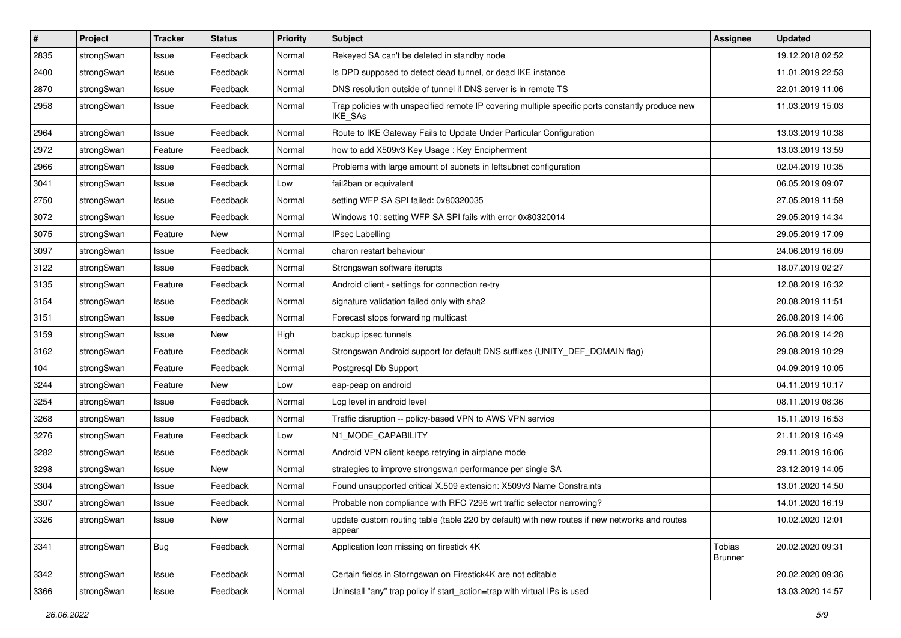| $\vert$ # | Project    | <b>Tracker</b> | <b>Status</b> | <b>Priority</b> | Subject                                                                                                            | <b>Assignee</b>                 | <b>Updated</b>   |
|-----------|------------|----------------|---------------|-----------------|--------------------------------------------------------------------------------------------------------------------|---------------------------------|------------------|
| 2835      | strongSwan | Issue          | Feedback      | Normal          | Rekeyed SA can't be deleted in standby node                                                                        |                                 | 19.12.2018 02:52 |
| 2400      | strongSwan | Issue          | Feedback      | Normal          | Is DPD supposed to detect dead tunnel, or dead IKE instance                                                        |                                 | 11.01.2019 22:53 |
| 2870      | strongSwan | Issue          | Feedback      | Normal          | DNS resolution outside of tunnel if DNS server is in remote TS                                                     |                                 | 22.01.2019 11:06 |
| 2958      | strongSwan | Issue          | Feedback      | Normal          | Trap policies with unspecified remote IP covering multiple specific ports constantly produce new<br><b>IKE SAs</b> |                                 | 11.03.2019 15:03 |
| 2964      | strongSwan | Issue          | Feedback      | Normal          | Route to IKE Gateway Fails to Update Under Particular Configuration                                                |                                 | 13.03.2019 10:38 |
| 2972      | strongSwan | Feature        | Feedback      | Normal          | how to add X509v3 Key Usage: Key Encipherment                                                                      |                                 | 13.03.2019 13:59 |
| 2966      | strongSwan | Issue          | Feedback      | Normal          | Problems with large amount of subnets in leftsubnet configuration                                                  |                                 | 02.04.2019 10:35 |
| 3041      | strongSwan | Issue          | Feedback      | Low             | fail2ban or equivalent                                                                                             |                                 | 06.05.2019 09:07 |
| 2750      | strongSwan | Issue          | Feedback      | Normal          | setting WFP SA SPI failed: 0x80320035                                                                              |                                 | 27.05.2019 11:59 |
| 3072      | strongSwan | Issue          | Feedback      | Normal          | Windows 10: setting WFP SA SPI fails with error 0x80320014                                                         |                                 | 29.05.2019 14:34 |
| 3075      | strongSwan | Feature        | New           | Normal          | <b>IPsec Labelling</b>                                                                                             |                                 | 29.05.2019 17:09 |
| 3097      | strongSwan | Issue          | Feedback      | Normal          | charon restart behaviour                                                                                           |                                 | 24.06.2019 16:09 |
| 3122      | strongSwan | Issue          | Feedback      | Normal          | Strongswan software iterupts                                                                                       |                                 | 18.07.2019 02:27 |
| 3135      | strongSwan | Feature        | Feedback      | Normal          | Android client - settings for connection re-try                                                                    |                                 | 12.08.2019 16:32 |
| 3154      | strongSwan | Issue          | Feedback      | Normal          | signature validation failed only with sha2                                                                         |                                 | 20.08.2019 11:51 |
| 3151      | strongSwan | Issue          | Feedback      | Normal          | Forecast stops forwarding multicast                                                                                |                                 | 26.08.2019 14:06 |
| 3159      | strongSwan | Issue          | New           | High            | backup ipsec tunnels                                                                                               |                                 | 26.08.2019 14:28 |
| 3162      | strongSwan | Feature        | Feedback      | Normal          | Strongswan Android support for default DNS suffixes (UNITY_DEF_DOMAIN flag)                                        |                                 | 29.08.2019 10:29 |
| 104       | strongSwan | Feature        | Feedback      | Normal          | Postgresql Db Support                                                                                              |                                 | 04.09.2019 10:05 |
| 3244      | strongSwan | Feature        | New           | Low             | eap-peap on android                                                                                                |                                 | 04.11.2019 10:17 |
| 3254      | strongSwan | Issue          | Feedback      | Normal          | Log level in android level                                                                                         |                                 | 08.11.2019 08:36 |
| 3268      | strongSwan | Issue          | Feedback      | Normal          | Traffic disruption -- policy-based VPN to AWS VPN service                                                          |                                 | 15.11.2019 16:53 |
| 3276      | strongSwan | Feature        | Feedback      | Low             | N1_MODE_CAPABILITY                                                                                                 |                                 | 21.11.2019 16:49 |
| 3282      | strongSwan | Issue          | Feedback      | Normal          | Android VPN client keeps retrying in airplane mode                                                                 |                                 | 29.11.2019 16:06 |
| 3298      | strongSwan | Issue          | <b>New</b>    | Normal          | strategies to improve strongswan performance per single SA                                                         |                                 | 23.12.2019 14:05 |
| 3304      | strongSwan | Issue          | Feedback      | Normal          | Found unsupported critical X.509 extension: X509v3 Name Constraints                                                |                                 | 13.01.2020 14:50 |
| 3307      | strongSwan | Issue          | Feedback      | Normal          | Probable non compliance with RFC 7296 wrt traffic selector narrowing?                                              |                                 | 14.01.2020 16:19 |
| 3326      | strongSwan | Issue          | New           | Normal          | update custom routing table (table 220 by default) with new routes if new networks and routes<br>appear            |                                 | 10.02.2020 12:01 |
| 3341      | strongSwan | Bug            | Feedback      | Normal          | Application Icon missing on firestick 4K                                                                           | <b>Tobias</b><br><b>Brunner</b> | 20.02.2020 09:31 |
| 3342      | strongSwan | Issue          | Feedback      | Normal          | Certain fields in Storngswan on Firestick4K are not editable                                                       |                                 | 20.02.2020 09:36 |
| 3366      | strongSwan | Issue          | Feedback      | Normal          | Uninstall "any" trap policy if start_action=trap with virtual IPs is used                                          |                                 | 13.03.2020 14:57 |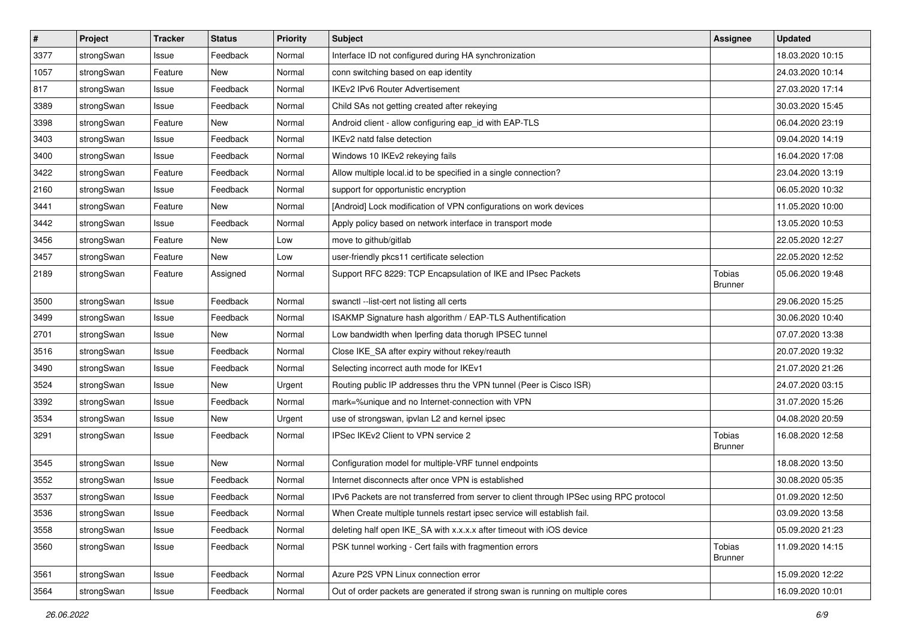| $\pmb{\#}$ | Project    | <b>Tracker</b> | <b>Status</b> | <b>Priority</b> | <b>Subject</b>                                                                          | <b>Assignee</b>                 | <b>Updated</b>   |
|------------|------------|----------------|---------------|-----------------|-----------------------------------------------------------------------------------------|---------------------------------|------------------|
| 3377       | strongSwan | Issue          | Feedback      | Normal          | Interface ID not configured during HA synchronization                                   |                                 | 18.03.2020 10:15 |
| 1057       | strongSwan | Feature        | New           | Normal          | conn switching based on eap identity                                                    |                                 | 24.03.2020 10:14 |
| 817        | strongSwan | Issue          | Feedback      | Normal          | <b>IKEv2 IPv6 Router Advertisement</b>                                                  |                                 | 27.03.2020 17:14 |
| 3389       | strongSwan | Issue          | Feedback      | Normal          | Child SAs not getting created after rekeying                                            |                                 | 30.03.2020 15:45 |
| 3398       | strongSwan | Feature        | New           | Normal          | Android client - allow configuring eap_id with EAP-TLS                                  |                                 | 06.04.2020 23:19 |
| 3403       | strongSwan | Issue          | Feedback      | Normal          | IKEv2 natd false detection                                                              |                                 | 09.04.2020 14:19 |
| 3400       | strongSwan | Issue          | Feedback      | Normal          | Windows 10 IKEv2 rekeying fails                                                         |                                 | 16.04.2020 17:08 |
| 3422       | strongSwan | Feature        | Feedback      | Normal          | Allow multiple local id to be specified in a single connection?                         |                                 | 23.04.2020 13:19 |
| 2160       | strongSwan | Issue          | Feedback      | Normal          | support for opportunistic encryption                                                    |                                 | 06.05.2020 10:32 |
| 3441       | strongSwan | Feature        | New           | Normal          | [Android] Lock modification of VPN configurations on work devices                       |                                 | 11.05.2020 10:00 |
| 3442       | strongSwan | Issue          | Feedback      | Normal          | Apply policy based on network interface in transport mode                               |                                 | 13.05.2020 10:53 |
| 3456       | strongSwan | Feature        | New           | Low             | move to github/gitlab                                                                   |                                 | 22.05.2020 12:27 |
| 3457       | strongSwan | Feature        | New           | Low             | user-friendly pkcs11 certificate selection                                              |                                 | 22.05.2020 12:52 |
| 2189       | strongSwan | Feature        | Assigned      | Normal          | Support RFC 8229: TCP Encapsulation of IKE and IPsec Packets                            | Tobias<br><b>Brunner</b>        | 05.06.2020 19:48 |
| 3500       | strongSwan | Issue          | Feedback      | Normal          | swanctl --list-cert not listing all certs                                               |                                 | 29.06.2020 15:25 |
| 3499       | strongSwan | Issue          | Feedback      | Normal          | ISAKMP Signature hash algorithm / EAP-TLS Authentification                              |                                 | 30.06.2020 10:40 |
| 2701       | strongSwan | Issue          | New           | Normal          | Low bandwidth when Iperfing data thorugh IPSEC tunnel                                   |                                 | 07.07.2020 13:38 |
| 3516       | strongSwan | Issue          | Feedback      | Normal          | Close IKE_SA after expiry without rekey/reauth                                          |                                 | 20.07.2020 19:32 |
| 3490       | strongSwan | Issue          | Feedback      | Normal          | Selecting incorrect auth mode for IKEv1                                                 |                                 | 21.07.2020 21:26 |
| 3524       | strongSwan | Issue          | New           | Urgent          | Routing public IP addresses thru the VPN tunnel (Peer is Cisco ISR)                     |                                 | 24.07.2020 03:15 |
| 3392       | strongSwan | Issue          | Feedback      | Normal          | mark=%unique and no Internet-connection with VPN                                        |                                 | 31.07.2020 15:26 |
| 3534       | strongSwan | Issue          | <b>New</b>    | Urgent          | use of strongswan, ipvlan L2 and kernel ipsec                                           |                                 | 04.08.2020 20:59 |
| 3291       | strongSwan | Issue          | Feedback      | Normal          | IPSec IKEv2 Client to VPN service 2                                                     | <b>Tobias</b><br><b>Brunner</b> | 16.08.2020 12:58 |
| 3545       | strongSwan | Issue          | <b>New</b>    | Normal          | Configuration model for multiple-VRF tunnel endpoints                                   |                                 | 18.08.2020 13:50 |
| 3552       | strongSwan | Issue          | Feedback      | Normal          | Internet disconnects after once VPN is established                                      |                                 | 30.08.2020 05:35 |
| 3537       | strongSwan | Issue          | Feedback      | Normal          | IPv6 Packets are not transferred from server to client through IPSec using RPC protocol |                                 | 01.09.2020 12:50 |
| 3536       | strongSwan | Issue          | Feedback      | Normal          | When Create multiple tunnels restart ipsec service will establish fail.                 |                                 | 03.09.2020 13:58 |
| 3558       | strongSwan | Issue          | Feedback      | Normal          | deleting half open IKE_SA with x.x.x.x after timeout with iOS device                    |                                 | 05.09.2020 21:23 |
| 3560       | strongSwan | Issue          | Feedback      | Normal          | PSK tunnel working - Cert fails with fragmention errors                                 | Tobias<br><b>Brunner</b>        | 11.09.2020 14:15 |
| 3561       | strongSwan | Issue          | Feedback      | Normal          | Azure P2S VPN Linux connection error                                                    |                                 | 15.09.2020 12:22 |
| 3564       | strongSwan | Issue          | Feedback      | Normal          | Out of order packets are generated if strong swan is running on multiple cores          |                                 | 16.09.2020 10:01 |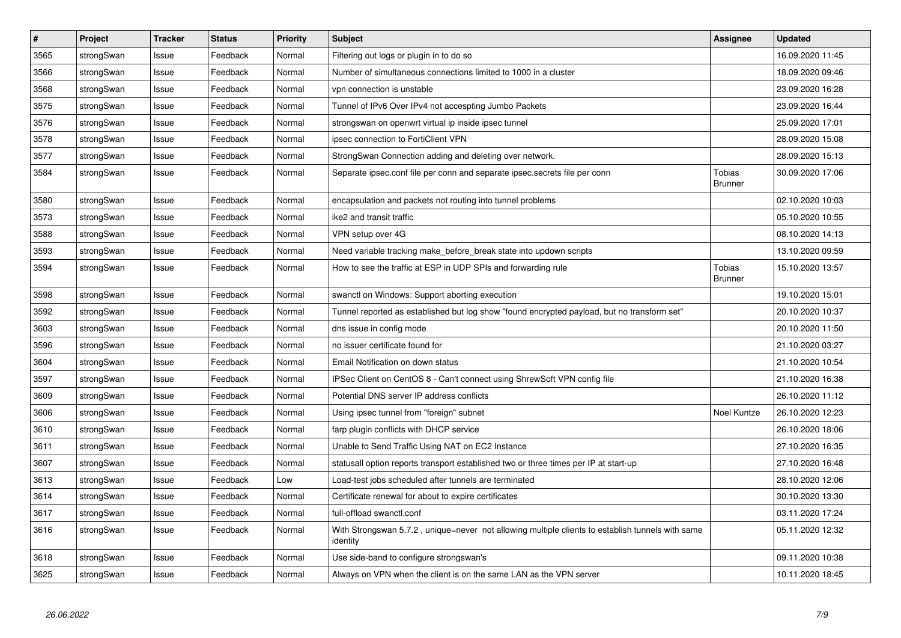| $\vert$ # | Project    | <b>Tracker</b> | <b>Status</b> | <b>Priority</b> | <b>Subject</b>                                                                                               | Assignee                 | <b>Updated</b>   |
|-----------|------------|----------------|---------------|-----------------|--------------------------------------------------------------------------------------------------------------|--------------------------|------------------|
| 3565      | strongSwan | Issue          | Feedback      | Normal          | Filtering out logs or plugin in to do so                                                                     |                          | 16.09.2020 11:45 |
| 3566      | strongSwan | Issue          | Feedback      | Normal          | Number of simultaneous connections limited to 1000 in a cluster                                              |                          | 18.09.2020 09:46 |
| 3568      | strongSwan | Issue          | Feedback      | Normal          | vpn connection is unstable                                                                                   |                          | 23.09.2020 16:28 |
| 3575      | strongSwan | Issue          | Feedback      | Normal          | Tunnel of IPv6 Over IPv4 not accespting Jumbo Packets                                                        |                          | 23.09.2020 16:44 |
| 3576      | strongSwan | Issue          | Feedback      | Normal          | strongswan on openwrt virtual ip inside ipsec tunnel                                                         |                          | 25.09.2020 17:01 |
| 3578      | strongSwan | Issue          | Feedback      | Normal          | ipsec connection to FortiClient VPN                                                                          |                          | 28.09.2020 15:08 |
| 3577      | strongSwan | Issue          | Feedback      | Normal          | StrongSwan Connection adding and deleting over network.                                                      |                          | 28.09.2020 15:13 |
| 3584      | strongSwan | Issue          | Feedback      | Normal          | Separate ipsec.conf file per conn and separate ipsec.secrets file per conn                                   | Tobias<br><b>Brunner</b> | 30.09.2020 17:06 |
| 3580      | strongSwan | Issue          | Feedback      | Normal          | encapsulation and packets not routing into tunnel problems                                                   |                          | 02.10.2020 10:03 |
| 3573      | strongSwan | Issue          | Feedback      | Normal          | ike2 and transit traffic                                                                                     |                          | 05.10.2020 10:55 |
| 3588      | strongSwan | Issue          | Feedback      | Normal          | VPN setup over 4G                                                                                            |                          | 08.10.2020 14:13 |
| 3593      | strongSwan | Issue          | Feedback      | Normal          | Need variable tracking make before break state into updown scripts                                           |                          | 13.10.2020 09:59 |
| 3594      | strongSwan | Issue          | Feedback      | Normal          | How to see the traffic at ESP in UDP SPIs and forwarding rule                                                | Tobias<br><b>Brunner</b> | 15.10.2020 13:57 |
| 3598      | strongSwan | Issue          | Feedback      | Normal          | swanctl on Windows: Support aborting execution                                                               |                          | 19.10.2020 15:01 |
| 3592      | strongSwan | Issue          | Feedback      | Normal          | Tunnel reported as established but log show "found encrypted payload, but no transform set"                  |                          | 20.10.2020 10:37 |
| 3603      | strongSwan | Issue          | Feedback      | Normal          | dns issue in config mode                                                                                     |                          | 20.10.2020 11:50 |
| 3596      | strongSwan | Issue          | Feedback      | Normal          | no issuer certificate found for                                                                              |                          | 21.10.2020 03:27 |
| 3604      | strongSwan | Issue          | Feedback      | Normal          | Email Notification on down status                                                                            |                          | 21.10.2020 10:54 |
| 3597      | strongSwan | Issue          | Feedback      | Normal          | IPSec Client on CentOS 8 - Can't connect using ShrewSoft VPN config file                                     |                          | 21.10.2020 16:38 |
| 3609      | strongSwan | Issue          | Feedback      | Normal          | Potential DNS server IP address conflicts                                                                    |                          | 26.10.2020 11:12 |
| 3606      | strongSwan | Issue          | Feedback      | Normal          | Using ipsec tunnel from "foreign" subnet                                                                     | Noel Kuntze              | 26.10.2020 12:23 |
| 3610      | strongSwan | Issue          | Feedback      | Normal          | farp plugin conflicts with DHCP service                                                                      |                          | 26.10.2020 18:06 |
| 3611      | strongSwan | Issue          | Feedback      | Normal          | Unable to Send Traffic Using NAT on EC2 Instance                                                             |                          | 27.10.2020 16:35 |
| 3607      | strongSwan | Issue          | Feedback      | Normal          | statusall option reports transport established two or three times per IP at start-up                         |                          | 27.10.2020 16:48 |
| 3613      | strongSwan | Issue          | Feedback      | Low             | Load-test jobs scheduled after tunnels are terminated                                                        |                          | 28.10.2020 12:06 |
| 3614      | strongSwan | Issue          | Feedback      | Normal          | Certificate renewal for about to expire certificates                                                         |                          | 30.10.2020 13:30 |
| 3617      | strongSwan | Issue          | Feedback      | Normal          | full-offload swanctl.conf                                                                                    |                          | 03.11.2020 17:24 |
| 3616      | strongSwan | Issue          | Feedback      | Normal          | With Strongswan 5.7.2, unique=never not allowing multiple clients to establish tunnels with same<br>identity |                          | 05.11.2020 12:32 |
| 3618      | strongSwan | Issue          | Feedback      | Normal          | Use side-band to configure strongswan's                                                                      |                          | 09.11.2020 10:38 |
| 3625      | strongSwan | Issue          | Feedback      | Normal          | Always on VPN when the client is on the same LAN as the VPN server                                           |                          | 10.11.2020 18:45 |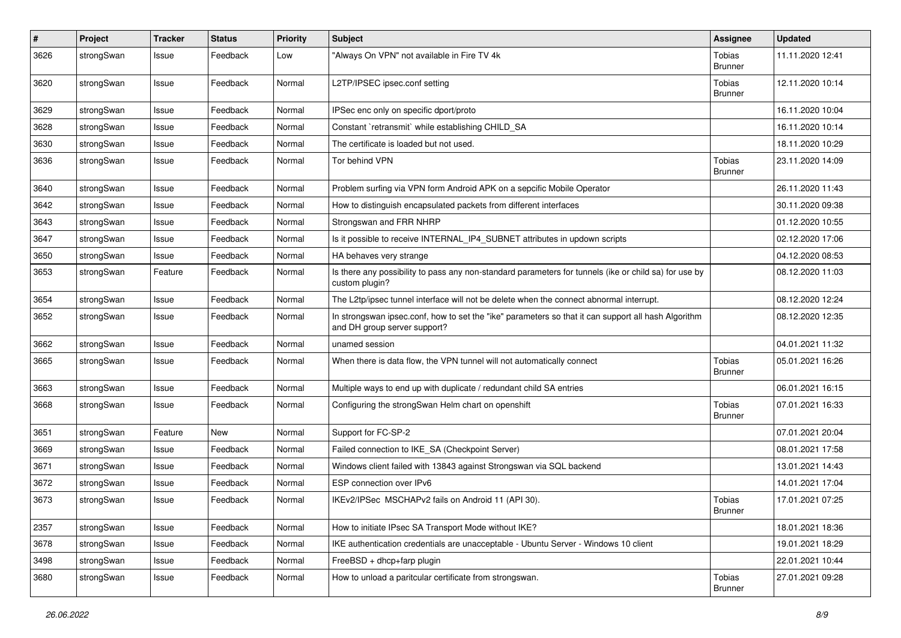| $\pmb{\#}$ | Project    | <b>Tracker</b> | <b>Status</b> | Priority | <b>Subject</b>                                                                                                                      | Assignee                        | <b>Updated</b>   |
|------------|------------|----------------|---------------|----------|-------------------------------------------------------------------------------------------------------------------------------------|---------------------------------|------------------|
| 3626       | strongSwan | Issue          | Feedback      | Low      | "Always On VPN" not available in Fire TV 4k                                                                                         | Tobias<br><b>Brunner</b>        | 11.11.2020 12:41 |
| 3620       | strongSwan | Issue          | Feedback      | Normal   | L2TP/IPSEC ipsec.conf setting                                                                                                       | Tobias<br><b>Brunner</b>        | 12.11.2020 10:14 |
| 3629       | strongSwan | Issue          | Feedback      | Normal   | IPSec enc only on specific dport/proto                                                                                              |                                 | 16.11.2020 10:04 |
| 3628       | strongSwan | Issue          | Feedback      | Normal   | Constant `retransmit` while establishing CHILD SA                                                                                   |                                 | 16.11.2020 10:14 |
| 3630       | strongSwan | Issue          | Feedback      | Normal   | The certificate is loaded but not used.                                                                                             |                                 | 18.11.2020 10:29 |
| 3636       | strongSwan | Issue          | Feedback      | Normal   | Tor behind VPN                                                                                                                      | Tobias<br><b>Brunner</b>        | 23.11.2020 14:09 |
| 3640       | strongSwan | Issue          | Feedback      | Normal   | Problem surfing via VPN form Android APK on a sepcific Mobile Operator                                                              |                                 | 26.11.2020 11:43 |
| 3642       | strongSwan | Issue          | Feedback      | Normal   | How to distinguish encapsulated packets from different interfaces                                                                   |                                 | 30.11.2020 09:38 |
| 3643       | strongSwan | Issue          | Feedback      | Normal   | Strongswan and FRR NHRP                                                                                                             |                                 | 01.12.2020 10:55 |
| 3647       | strongSwan | Issue          | Feedback      | Normal   | Is it possible to receive INTERNAL IP4 SUBNET attributes in updown scripts                                                          |                                 | 02.12.2020 17:06 |
| 3650       | strongSwan | Issue          | Feedback      | Normal   | HA behaves very strange                                                                                                             |                                 | 04.12.2020 08:53 |
| 3653       | strongSwan | Feature        | Feedback      | Normal   | Is there any possibility to pass any non-standard parameters for tunnels (ike or child sa) for use by<br>custom plugin?             |                                 | 08.12.2020 11:03 |
| 3654       | strongSwan | Issue          | Feedback      | Normal   | The L2tp/ipsec tunnel interface will not be delete when the connect abnormal interrupt.                                             |                                 | 08.12.2020 12:24 |
| 3652       | strongSwan | Issue          | Feedback      | Normal   | In strongswan ipsec.conf, how to set the "ike" parameters so that it can support all hash Algorithm<br>and DH group server support? |                                 | 08.12.2020 12:35 |
| 3662       | strongSwan | Issue          | Feedback      | Normal   | unamed session                                                                                                                      |                                 | 04.01.2021 11:32 |
| 3665       | strongSwan | Issue          | Feedback      | Normal   | When there is data flow, the VPN tunnel will not automatically connect                                                              | Tobias<br><b>Brunner</b>        | 05.01.2021 16:26 |
| 3663       | strongSwan | Issue          | Feedback      | Normal   | Multiple ways to end up with duplicate / redundant child SA entries                                                                 |                                 | 06.01.2021 16:15 |
| 3668       | strongSwan | Issue          | Feedback      | Normal   | Configuring the strongSwan Helm chart on openshift                                                                                  | <b>Tobias</b><br><b>Brunner</b> | 07.01.2021 16:33 |
| 3651       | strongSwan | Feature        | <b>New</b>    | Normal   | Support for FC-SP-2                                                                                                                 |                                 | 07.01.2021 20:04 |
| 3669       | strongSwan | Issue          | Feedback      | Normal   | Failed connection to IKE SA (Checkpoint Server)                                                                                     |                                 | 08.01.2021 17:58 |
| 3671       | strongSwan | Issue          | Feedback      | Normal   | Windows client failed with 13843 against Strongswan via SQL backend                                                                 |                                 | 13.01.2021 14:43 |
| 3672       | strongSwan | Issue          | Feedback      | Normal   | ESP connection over IPv6                                                                                                            |                                 | 14.01.2021 17:04 |
| 3673       | strongSwan | Issue          | Feedback      | Normal   | IKEv2/IPSec MSCHAPv2 fails on Android 11 (API 30).                                                                                  | Tobias<br><b>Brunner</b>        | 17.01.2021 07:25 |
| 2357       | strongSwan | Issue          | Feedback      | Normal   | How to initiate IPsec SA Transport Mode without IKE?                                                                                |                                 | 18.01.2021 18:36 |
| 3678       | strongSwan | Issue          | Feedback      | Normal   | IKE authentication credentials are unacceptable - Ubuntu Server - Windows 10 client                                                 |                                 | 19.01.2021 18:29 |
| 3498       | strongSwan | Issue          | Feedback      | Normal   | FreeBSD + dhcp+farp plugin                                                                                                          |                                 | 22.01.2021 10:44 |
| 3680       | strongSwan | Issue          | Feedback      | Normal   | How to unload a paritcular certificate from strongswan.                                                                             | Tobias<br><b>Brunner</b>        | 27.01.2021 09:28 |